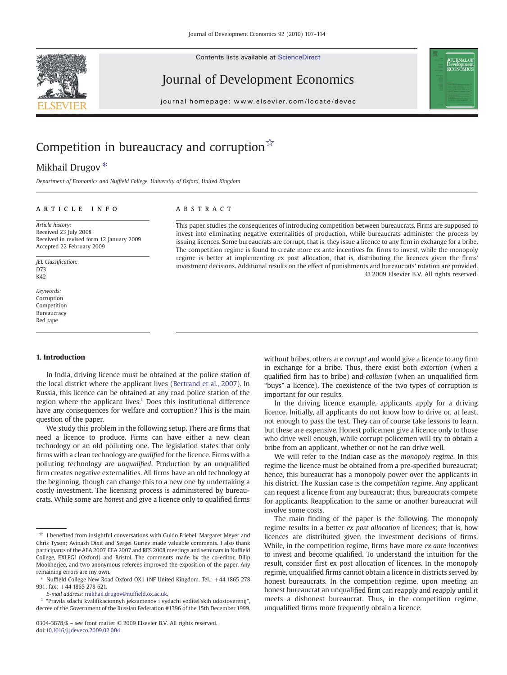Contents lists available at [ScienceDirect](http://www.sciencedirect.com/science/journal/03043878)







journal homepage: www.elsevier.com/locate/devec

# Competition in bureaucracy and corruption $\overrightarrow{x}$

### Mikhail Drugov<sup>\*</sup>

Department of Economics and Nuffield College, University of Oxford, United Kingdom

### article info abstract

Article history: Received 23 July 2008 Received in revised form 12 January 2009 Accepted 22 February 2009

JEL Classification: D73 K42

Keywords: Corruption Competition Bureaucracy Red tape

#### 1. Introduction

In India, driving licence must be obtained at the police station of the local district where the applicant lives [\(Bertrand et al., 2007](#page--1-0)). In Russia, this licence can be obtained at any road police station of the region where the applicant lives.<sup>1</sup> Does this institutional difference have any consequences for welfare and corruption? This is the main question of the paper.

We study this problem in the following setup. There are firms that need a licence to produce. Firms can have either a new clean technology or an old polluting one. The legislation states that only firms with a clean technology are qualified for the licence. Firms with a polluting technology are unqualified. Production by an unqualified firm creates negative externalities. All firms have an old technology at the beginning, though can change this to a new one by undertaking a costly investment. The licensing process is administered by bureaucrats. While some are honest and give a licence only to qualified firms

E-mail address: [mikhail.drugov@nuf](mailto:mikhail.drugov@nuffield.ox.ac.uk)field.ox.ac.uk.

This paper studies the consequences of introducing competition between bureaucrats. Firms are supposed to invest into eliminating negative externalities of production, while bureaucrats administer the process by issuing licences. Some bureaucrats are corrupt, that is, they issue a licence to any firm in exchange for a bribe. The competition regime is found to create more ex ante incentives for firms to invest, while the monopoly regime is better at implementing ex post allocation, that is, distributing the licences given the firms' investment decisions. Additional results on the effect of punishments and bureaucrats' rotation are provided. © 2009 Elsevier B.V. All rights reserved.

> without bribes, others are corrupt and would give a licence to any firm in exchange for a bribe. Thus, there exist both extortion (when a qualified firm has to bribe) and collusion (when an unqualified firm "buys" a licence). The coexistence of the two types of corruption is important for our results.

> In the driving licence example, applicants apply for a driving licence. Initially, all applicants do not know how to drive or, at least, not enough to pass the test. They can of course take lessons to learn, but these are expensive. Honest policemen give a licence only to those who drive well enough, while corrupt policemen will try to obtain a bribe from an applicant, whether or not he can drive well.

> We will refer to the Indian case as the monopoly regime. In this regime the licence must be obtained from a pre-specified bureaucrat; hence, this bureaucrat has a monopoly power over the applicants in his district. The Russian case is the competition regime. Any applicant can request a licence from any bureaucrat; thus, bureaucrats compete for applicants. Reapplication to the same or another bureaucrat will involve some costs.

> The main finding of the paper is the following. The monopoly regime results in a better ex post allocation of licences; that is, how licences are distributed given the investment decisions of firms. While, in the competition regime, firms have more ex ante incentives to invest and become qualified. To understand the intuition for the result, consider first ex post allocation of licences. In the monopoly regime, unqualified firms cannot obtain a licence in districts served by honest bureaucrats. In the competition regime, upon meeting an honest bureaucrat an unqualified firm can reapply and reapply until it meets a dishonest bureaucrat. Thus, in the competition regime, unqualified firms more frequently obtain a licence.

 $^\star\!\!\!\!\!\times$  I benefited from insightful conversations with Guido Friebel, Margaret Meyer and Chris Tyson; Avinash Dixit and Sergei Guriev made valuable comments. I also thank participants of the AEA 2007, EEA 2007 and RES 2008 meetings and seminars in Nuffield College, EXLEGI (Oxford) and Bristol. The comments made by the co-editor, Dilip Mookherjee, and two anonymous referees improved the exposition of the paper. Any remaining errors are my own.

<sup>⁎</sup> Nuffield College New Road Oxford OX1 1NF United Kingdom. Tel.: +44 1865 278 991; fax: +44 1865 278 621.

<sup>1</sup> "Pravila sdachi kvalifikacionnyh jekzamenov i vydachi voditel'skih udostoverenij", decree of the Government of the Russian Federation #1396 of the 15th December 1999.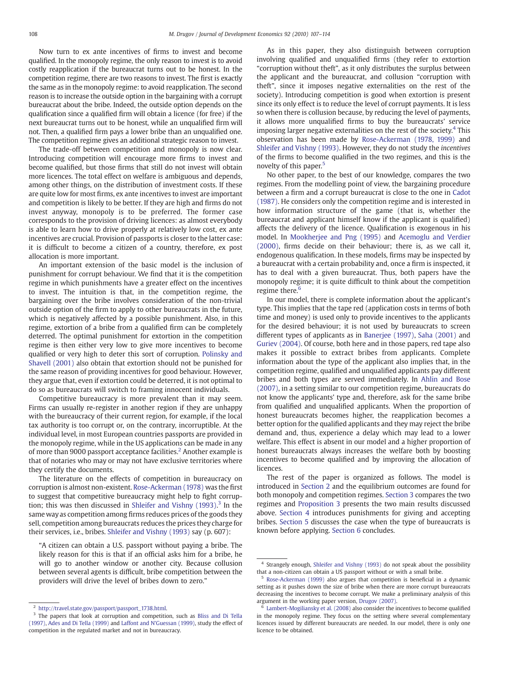Now turn to ex ante incentives of firms to invest and become qualified. In the monopoly regime, the only reason to invest is to avoid costly reapplication if the bureaucrat turns out to be honest. In the competition regime, there are two reasons to invest. The first is exactly the same as in the monopoly regime: to avoid reapplication. The second reason is to increase the outside option in the bargaining with a corrupt bureaucrat about the bribe. Indeed, the outside option depends on the qualification since a qualified firm will obtain a licence (for free) if the next bureaucrat turns out to be honest, while an unqualified firm will not. Then, a qualified firm pays a lower bribe than an unqualified one. The competition regime gives an additional strategic reason to invest.

The trade-off between competition and monopoly is now clear. Introducing competition will encourage more firms to invest and become qualified, but those firms that still do not invest will obtain more licences. The total effect on welfare is ambiguous and depends, among other things, on the distribution of investment costs. If these are quite low for most firms, ex ante incentives to invest are important and competition is likely to be better. If they are high and firms do not invest anyway, monopoly is to be preferred. The former case corresponds to the provision of driving licences: as almost everybody is able to learn how to drive properly at relatively low cost, ex ante incentives are crucial. Provision of passports is closer to the latter case: it is difficult to become a citizen of a country, therefore, ex post allocation is more important.

An important extension of the basic model is the inclusion of punishment for corrupt behaviour. We find that it is the competition regime in which punishments have a greater effect on the incentives to invest. The intuition is that, in the competition regime, the bargaining over the bribe involves consideration of the non-trivial outside option of the firm to apply to other bureaucrats in the future, which is negatively affected by a possible punishment. Also, in this regime, extortion of a bribe from a qualified firm can be completely deterred. The optimal punishment for extortion in the competition regime is then either very low to give more incentives to become qualified or very high to deter this sort of corruption. [Polinsky and](#page--1-0) [Shavell \(2001\)](#page--1-0) also obtain that extortion should not be punished for the same reason of providing incentives for good behaviour. However, they argue that, even if extortion could be deterred, it is not optimal to do so as bureaucrats will switch to framing innocent individuals.

Competitive bureaucracy is more prevalent than it may seem. Firms can usually re-register in another region if they are unhappy with the bureaucracy of their current region, for example, if the local tax authority is too corrupt or, on the contrary, incorruptible. At the individual level, in most European countries passports are provided in the monopoly regime, while in the US applications can be made in any of more than 9000 passport acceptance facilities.2 Another example is that of notaries who may or may not have exclusive territories where they certify the documents.

The literature on the effects of competition in bureaucracy on corruption is almost non-existent. [Rose-Ackerman \(1978\)](#page--1-0) was the first to suggest that competitive bureaucracy might help to fight corruption; this was then discussed in [Shleifer and Vishny \(1993\).](#page--1-0) <sup>3</sup> In the same way as competition among firms reduces prices of the goods they sell, competition among bureaucrats reduces the prices they charge for their services, i.e., bribes. [Shleifer and Vishny \(1993\)](#page--1-0) say (p. 607):

"A citizen can obtain a U.S. passport without paying a bribe. The likely reason for this is that if an official asks him for a bribe, he will go to another window or another city. Because collusion between several agents is difficult, bribe competition between the providers will drive the level of bribes down to zero."

As in this paper, they also distinguish between corruption involving qualified and unqualified firms (they refer to extortion "corruption without theft", as it only distributes the surplus between the applicant and the bureaucrat, and collusion "corruption with theft", since it imposes negative externalities on the rest of the society). Introducing competition is good when extortion is present since its only effect is to reduce the level of corrupt payments. It is less so when there is collusion because, by reducing the level of payments, it allows more unqualified firms to buy the bureaucrats' service imposing larger negative externalities on the rest of the society.<sup>4</sup> This observation has been made by [Rose-Ackerman \(1978, 1999\)](#page--1-0) and [Shleifer and Vishny \(1993\)](#page--1-0). However, they do not study the incentives of the firms to become qualified in the two regimes, and this is the novelty of this paper.<sup>5</sup>

No other paper, to the best of our knowledge, compares the two regimes. From the modelling point of view, the bargaining procedure between a firm and a corrupt bureaucrat is close to the one in [Cadot](#page--1-0) [\(1987\)](#page--1-0). He considers only the competition regime and is interested in how information structure of the game (that is, whether the bureaucrat and applicant himself know if the applicant is qualified) affects the delivery of the licence. Qualification is exogenous in his model. In [Mookherjee and Png \(1995\)](#page--1-0) and [Acemoglu and Verdier](#page--1-0) [\(2000\)](#page--1-0), firms decide on their behaviour; there is, as we call it, endogenous qualification. In these models, firms may be inspected by a bureaucrat with a certain probability and, once a firm is inspected, it has to deal with a given bureaucrat. Thus, both papers have the monopoly regime; it is quite difficult to think about the competition regime there.<sup>6</sup>

In our model, there is complete information about the applicant's type. This implies that the tape red (application costs in terms of both time and money) is used only to provide incentives to the applicants for the desired behaviour; it is not used by bureaucrats to screen different types of applicants as in [Banerjee \(1997\),](#page--1-0) [Saha \(2001\)](#page--1-0) and [Guriev \(2004\).](#page--1-0) Of course, both here and in those papers, red tape also makes it possible to extract bribes from applicants. Complete information about the type of the applicant also implies that, in the competition regime, qualified and unqualified applicants pay different bribes and both types are served immediately. In [Ahlin and Bose](#page--1-0) [\(2007\)](#page--1-0), in a setting similar to our competition regime, bureaucrats do not know the applicants' type and, therefore, ask for the same bribe from qualified and unqualified applicants. When the proportion of honest bureaucrats becomes higher, the reapplication becomes a better option for the qualified applicants and they may reject the bribe demand and, thus, experience a delay which may lead to a lower welfare. This effect is absent in our model and a higher proportion of honest bureaucrats always increases the welfare both by boosting incentives to become qualified and by improving the allocation of licences.

The rest of the paper is organized as follows. The model is introduced in [Section 2](#page--1-0) and the equilibrium outcomes are found for both monopoly and competition regimes. [Section 3](#page--1-0) compares the two regimes and [Proposition 3](#page--1-0) presents the two main results discussed above. [Section 4](#page--1-0) introduces punishments for giving and accepting bribes. [Section 5](#page--1-0) discusses the case when the type of bureaucrats is known before applying. [Section 6](#page--1-0) concludes.

 $^{\rm 2}$ [http://travel.state.gov/passport/passport\\_1738.html](http://travel.state.gov/passport/passport_1738.html).

<sup>&</sup>lt;sup>3</sup> The papers that look at corruption and competition, such as [Bliss and Di Tella](#page--1-0) [\(1997\)](#page--1-0), [Ades and Di Tella \(1999\)](#page--1-0) and [Laffont and N'Guessan \(1999\)](#page--1-0), study the effect of competition in the regulated market and not in bureaucracy.

<sup>4</sup> Strangely enough, [Shleifer and Vishny \(1993\)](#page--1-0) do not speak about the possibility that a non-citizen can obtain a US passport without or with a small bribe.

<sup>5</sup> [Rose-Ackerman \(1999\)](#page--1-0) also argues that competition is beneficial in a dynamic setting as it pushes down the size of bribe when there are more corrupt bureaucrats decreasing the incentives to become corrupt. We make a preliminary analysis of this argument in the working paper version, [Drugov \(2007\).](#page--1-0)

[Lambert-Mogiliansky et al. \(2008\)](#page--1-0) also consider the incentives to become qualified in the monopoly regime. They focus on the setting where several complementary licences issued by different bureaucrats are needed. In our model, there is only one licence to be obtained.